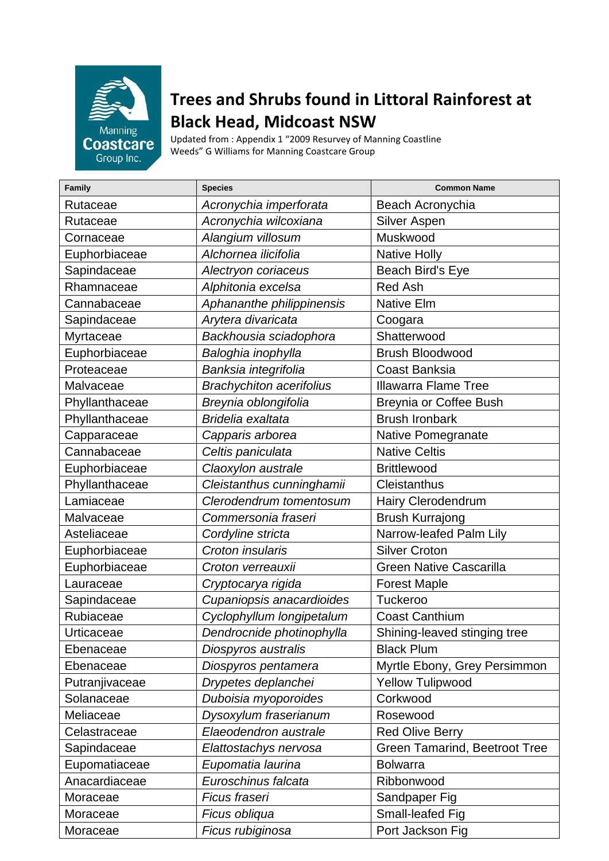

## **Trees and Shrubs found in Littoral Rainforest at Black Head, Midcoast NSW**

Updated from : Appendix 1 "2009 Resurvey of Manning Coastline Weeds" G Williams for Manning Coastcare Group

| Family         | <b>Species</b>                  | <b>Common Name</b>                   |
|----------------|---------------------------------|--------------------------------------|
| Rutaceae       | Acronychia imperforata          | Beach Acronychia                     |
| Rutaceae       | Acronychia wilcoxiana           | Silver Aspen                         |
| Cornaceae      | Alangium villosum               | Muskwood                             |
| Euphorbiaceae  | Alchornea ilicifolia            | <b>Native Holly</b>                  |
| Sapindaceae    | Alectryon coriaceus             | Beach Bird's Eye                     |
| Rhamnaceae     | Alphitonia excelsa              | <b>Red Ash</b>                       |
| Cannabaceae    | Aphananthe philippinensis       | <b>Native Elm</b>                    |
| Sapindaceae    | Arytera divaricata              | Coogara                              |
| Myrtaceae      | Backhousia sciadophora          | Shatterwood                          |
| Euphorbiaceae  | Baloghia inophylla              | <b>Brush Bloodwood</b>               |
| Proteaceae     | Banksia integrifolia            | <b>Coast Banksia</b>                 |
| Malvaceae      | <b>Brachychiton acerifolius</b> | <b>Illawarra Flame Tree</b>          |
| Phyllanthaceae | Breynia oblongifolia            | <b>Breynia or Coffee Bush</b>        |
| Phyllanthaceae | Bridelia exaltata               | <b>Brush Ironbark</b>                |
| Capparaceae    | Capparis arborea                | Native Pomegranate                   |
| Cannabaceae    | Celtis paniculata               | <b>Native Celtis</b>                 |
| Euphorbiaceae  | Claoxylon australe              | <b>Brittlewood</b>                   |
| Phyllanthaceae | Cleistanthus cunninghamii       | Cleistanthus                         |
| Lamiaceae      | Clerodendrum tomentosum         | Hairy Clerodendrum                   |
| Malvaceae      | Commersonia fraseri             | <b>Brush Kurrajong</b>               |
| Asteliaceae    | Cordyline stricta               | Narrow-leafed Palm Lily              |
| Euphorbiaceae  | Croton insularis                | <b>Silver Croton</b>                 |
| Euphorbiaceae  | Croton verreauxii               | <b>Green Native Cascarilla</b>       |
| Lauraceae      | Cryptocarya rigida              | <b>Forest Maple</b>                  |
| Sapindaceae    | Cupaniopsis anacardioides       | Tuckeroo                             |
| Rubiaceae      | Cyclophyllum longipetalum       | <b>Coast Canthium</b>                |
| Urticaceae     | Dendrocnide photinophylla       | Shining-leaved stinging tree         |
| Ebenaceae      | Diospyros australis             | <b>Black Plum</b>                    |
| Ebenaceae      | Diospyros pentamera             | Myrtle Ebony, Grey Persimmon         |
| Putranjivaceae | Drypetes deplanchei             | <b>Yellow Tulipwood</b>              |
| Solanaceae     | Duboisia myoporoides            | Corkwood                             |
| Meliaceae      | Dysoxylum fraserianum           | Rosewood                             |
| Celastraceae   | Elaeodendron australe           | <b>Red Olive Berry</b>               |
| Sapindaceae    | Elattostachys nervosa           | <b>Green Tamarind, Beetroot Tree</b> |
| Eupomatiaceae  | Eupomatia laurina               | <b>Bolwarra</b>                      |
| Anacardiaceae  | Euroschinus falcata             | Ribbonwood                           |
| Moraceae       | Ficus fraseri                   | Sandpaper Fig                        |
| Moraceae       | Ficus obliqua                   | Small-leafed Fig                     |
| Moraceae       | Ficus rubiginosa                | Port Jackson Fig                     |